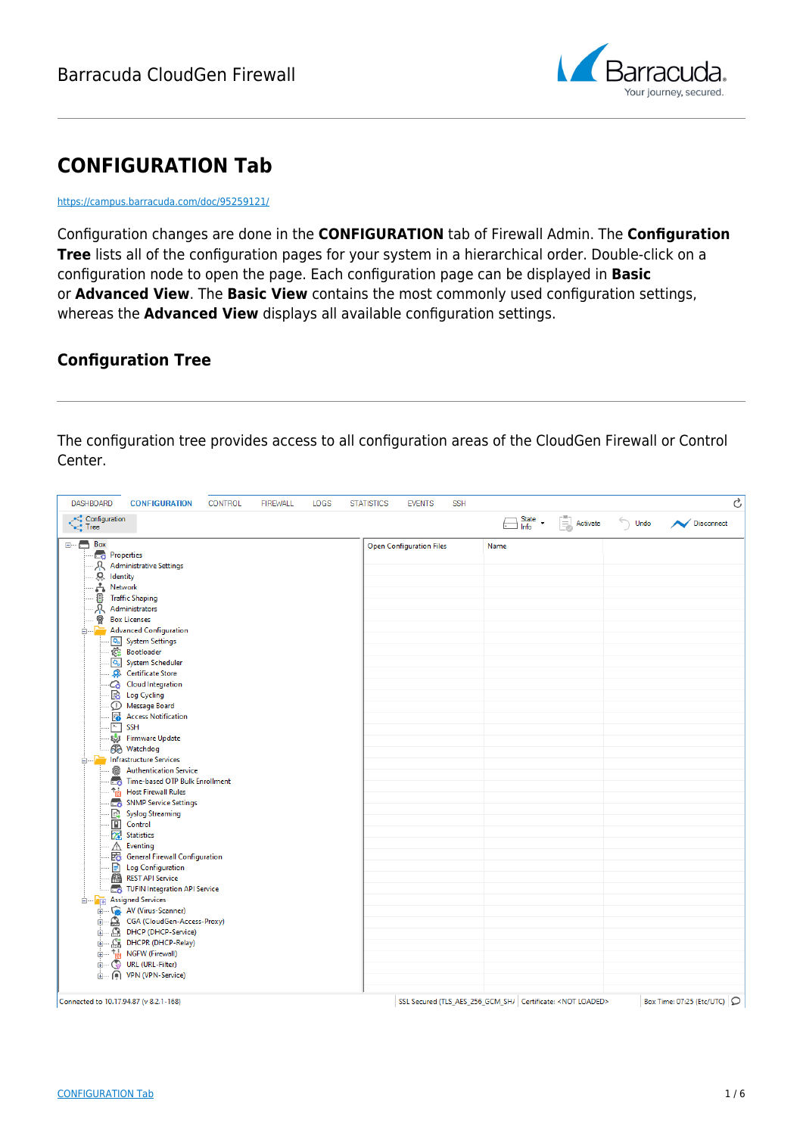

# **CONFIGURATION Tab**

<https://campus.barracuda.com/doc/95259121/>

Configuration changes are done in the **CONFIGURATION** tab of Firewall Admin. The **Configuration Tree** lists all of the configuration pages for your system in a hierarchical order. Double-click on a configuration node to open the page. Each configuration page can be displayed in **Basic** or **Advanced View**. The **Basic View** contains the most commonly used configuration settings, whereas the **Advanced View** displays all available configuration settings.

### **Configuration Tree**

The configuration tree provides access to all configuration areas of the CloudGen Firewall or Control Center.

| <b>DASHBOARD</b><br><b>CONFIGURATION</b><br><b>CONTROL</b><br><b>FIREWALL</b><br>LOGS                                                                                                                                                                                                                                                                                                                                                                                                                                                                                                                                                                                                                                                                                                                                                                                                                                                                                                                     | <b>SSH</b><br><b>STATISTICS</b><br><b>EVENTS</b> |                                                                     | Ċ                                       |
|-----------------------------------------------------------------------------------------------------------------------------------------------------------------------------------------------------------------------------------------------------------------------------------------------------------------------------------------------------------------------------------------------------------------------------------------------------------------------------------------------------------------------------------------------------------------------------------------------------------------------------------------------------------------------------------------------------------------------------------------------------------------------------------------------------------------------------------------------------------------------------------------------------------------------------------------------------------------------------------------------------------|--------------------------------------------------|---------------------------------------------------------------------|-----------------------------------------|
| <b>Configuration</b><br><b>Co</b> Tree                                                                                                                                                                                                                                                                                                                                                                                                                                                                                                                                                                                                                                                                                                                                                                                                                                                                                                                                                                    |                                                  | $\Box$ State $\cdot$<br>B<br>Activate                               | $\hookrightarrow$<br>Undo<br>Disconnect |
| $\Box \Box \Box$ Box<br><b>Ext</b> Properties<br>ℛ<br><b>Administrative Settings</b><br>8.九郡<br>Identity<br>Network<br><b>Traffic Shaping</b><br>Ā<br>Administrators<br>좋<br><b>Box Licenses</b><br>é-F<br><b>Advanced Configuration</b><br><b>Q<sub>o</sub></b> System Settings<br><b>@ Bootloader</b><br>O <sub>o</sub> System Scheduler<br>Certificate Store<br>Co Cloud Integration<br><b>B</b> Log Cycling<br><b>D</b> Message Board<br><b>B</b> Access Notification<br>$\overline{a}$<br><b>SSH</b><br>្រូវ Firmware Update<br><b>60</b> Watchdog<br>infrastructure Services<br><b>Authentication Service</b><br>侖<br>Time-based OTP Bulk Enrollment<br><sup>t</sup> h Host Firewall Rules<br>SNMP Service Settings<br>R<br><b>Syslog Streaming</b><br>$\boxed{\blacksquare}$ Control<br>X <sup>2</sup> Statistics<br>Λ<br>Eventing<br>图 General Firewall Configuration<br><b>E</b> Log Configuration<br><b>REST API Service</b><br>TUFIN Integration API Service<br><b>Empty</b> Assigned Services | <b>Open Configuration Files</b>                  | Name                                                                |                                         |
| AV (Virus-Scanner)<br>CGA (CloudGen-Access-Proxy)<br>由<br><b>DHCP</b> (DHCP-Service)<br>DHCPR (DHCP-Relay)<br>山 ta NGFW (Firewall)                                                                                                                                                                                                                                                                                                                                                                                                                                                                                                                                                                                                                                                                                                                                                                                                                                                                        |                                                  |                                                                     |                                         |
| <b>ED</b> (C) URL (URL-Filter)<br>i VPN (VPN-Service)<br>Connected to 10.17.94.87 (v 8.2.1-168)                                                                                                                                                                                                                                                                                                                                                                                                                                                                                                                                                                                                                                                                                                                                                                                                                                                                                                           |                                                  | SSL Secured (TLS_AES_256_GCM_SH/ Certificate: <not loaded=""></not> | Box Time: 07:25 (Etc/UTC) Q             |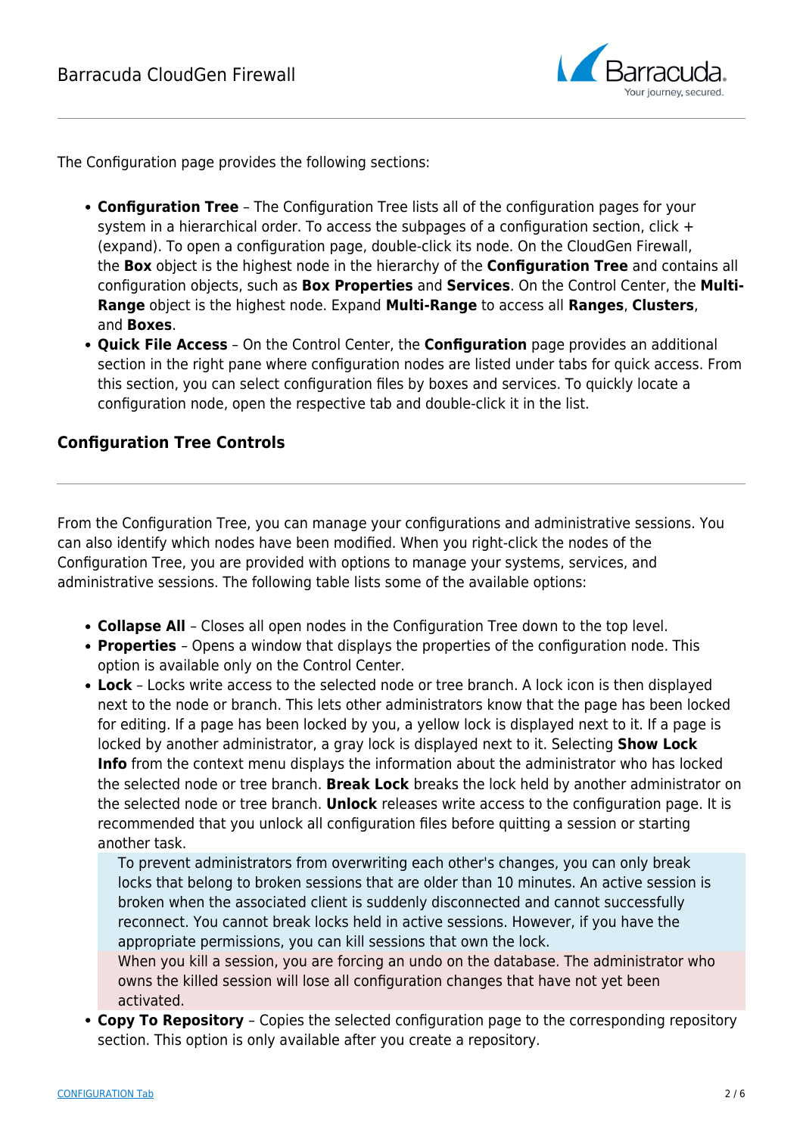

The Configuration page provides the following sections:

- **Configuration Tree** The Configuration Tree lists all of the configuration pages for your system in a hierarchical order. To access the subpages of a configuration section, click + (expand). To open a configuration page, double-click its node. On the CloudGen Firewall, the **Box** object is the highest node in the hierarchy of the **Configuration Tree** and contains all configuration objects, such as **Box Properties** and **Services**. On the Control Center, the **Multi-Range** object is the highest node. Expand **Multi-Range** to access all **Ranges**, **Clusters**, and **Boxes**.
- **Quick File Access** On the Control Center, the **Configuration** page provides an additional section in the right pane where configuration nodes are listed under tabs for quick access. From this section, you can select configuration files by boxes and services. To quickly locate a configuration node, open the respective tab and double-click it in the list.

### **Configuration Tree Controls**

From the Configuration Tree, you can manage your configurations and administrative sessions. You can also identify which nodes have been modified. When you right-click the nodes of the Configuration Tree, you are provided with options to manage your systems, services, and administrative sessions. The following table lists some of the available options:

- **Collapse All**  Closes all open nodes in the Configuration Tree down to the top level.
- **Properties**  Opens a window that displays the properties of the configuration node. This option is available only on the Control Center.
- **Lock** Locks write access to the selected node or tree branch. A lock icon is then displayed next to the node or branch. This lets other administrators know that the page has been locked for editing. If a page has been locked by you, a yellow lock is displayed next to it. If a page is locked by another administrator, a gray lock is displayed next to it. Selecting **Show Lock Info** from the context menu displays the information about the administrator who has locked the selected node or tree branch. **Break Lock** breaks the lock held by another administrator on the selected node or tree branch. **Unlock** releases write access to the configuration page. It is recommended that you unlock all configuration files before quitting a session or starting another task.

To prevent administrators from overwriting each other's changes, you can only break locks that belong to broken sessions that are older than 10 minutes. An active session is broken when the associated client is suddenly disconnected and cannot successfully reconnect. You cannot break locks held in active sessions. However, if you have the appropriate permissions, you can kill sessions that own the lock.

When you kill a session, you are forcing an undo on the database. The administrator who owns the killed session will lose all configuration changes that have not yet been activated.

**Copy To Repository** – Copies the selected configuration page to the corresponding repository section. This option is only available after you create a repository.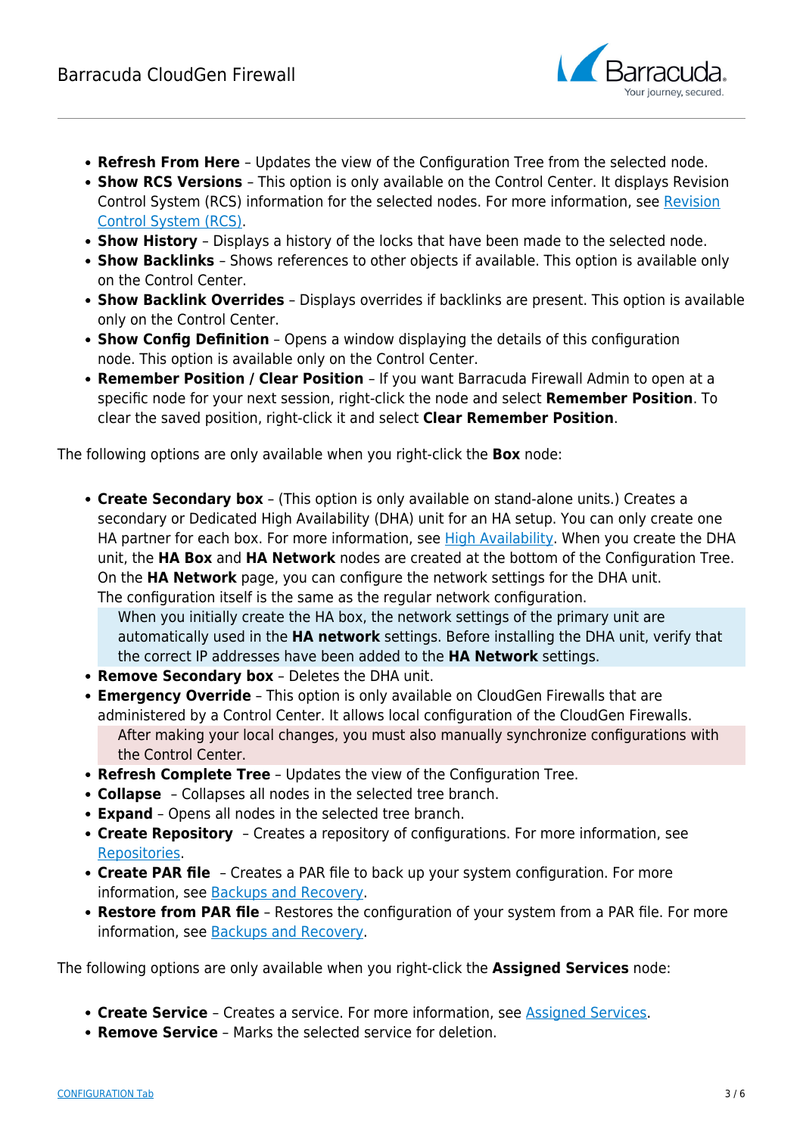

- **Refresh From Here**  Updates the view of the Configuration Tree from the selected node.
- **Show RCS Versions**  This option is only available on the Control Center. It displays Revision Control System (RCS) information for the selected nodes. For more information, see [Revision](http://campus.barracuda.com/doc/95259023/) [Control System \(RCS\)](http://campus.barracuda.com/doc/95259023/).
- **Show History**  Displays a history of the locks that have been made to the selected node.
- **Show Backlinks**  Shows references to other objects if available. This option is available only on the Control Center.
- **Show Backlink Overrides** Displays overrides if backlinks are present. This option is available only on the Control Center.
- **Show Config Definition** Opens a window displaying the details of this configuration node. This option is available only on the Control Center.
- **Remember Position / Clear Position**  If you want Barracuda Firewall Admin to open at a specific node for your next session, right-click the node and select **Remember Position**. To clear the saved position, right-click it and select **Clear Remember Position**.

The following options are only available when you right-click the **Box** node:

**Create Secondary box** – (This option is only available on stand-alone units.) Creates a secondary or Dedicated High Availability (DHA) unit for an HA setup. You can only create one HA partner for each box. For more information, see [High Availability](http://campus.barracuda.com/doc/95258998/). When you create the DHA unit, the **HA Box** and **HA Network** nodes are created at the bottom of the Configuration Tree. On the **HA Network** page, you can configure the network settings for the DHA unit. The configuration itself is the same as the regular network configuration.

When you initially create the HA box, the network settings of the primary unit are automatically used in the **HA network** settings. Before installing the DHA unit, verify that the correct IP addresses have been added to the **HA Network** settings.

- **Remove Secondary box** Deletes the DHA unit.
- **Emergency Override** This option is only available on CloudGen Firewalls that are administered by a Control Center. It allows local configuration of the CloudGen Firewalls. After making your local changes, you must also manually synchronize configurations with the Control Center.
- **Refresh Complete Tree** Updates the view of the Configuration Tree.
- **Collapse** Collapses all nodes in the selected tree branch.
- **Expand** Opens all nodes in the selected tree branch.
- **Create Repository** Creates a repository of configurations. For more information, see [Repositories.](http://campus.barracuda.com/doc/95259039/)
- **Create PAR file** Creates a PAR file to back up your system configuration. For more information, see [Backups and Recovery.](http://campus.barracuda.com/doc/95259295/)
- **Restore from PAR file** Restores the configuration of your system from a PAR file. For more information, see [Backups and Recovery.](http://campus.barracuda.com/doc/95259295/)

The following options are only available when you right-click the **Assigned Services** node:

- **Create Service**  Creates a service. For more information, see [Assigned Services.](http://campus.barracuda.com/doc/95259354/)
- **Remove Service** Marks the selected service for deletion.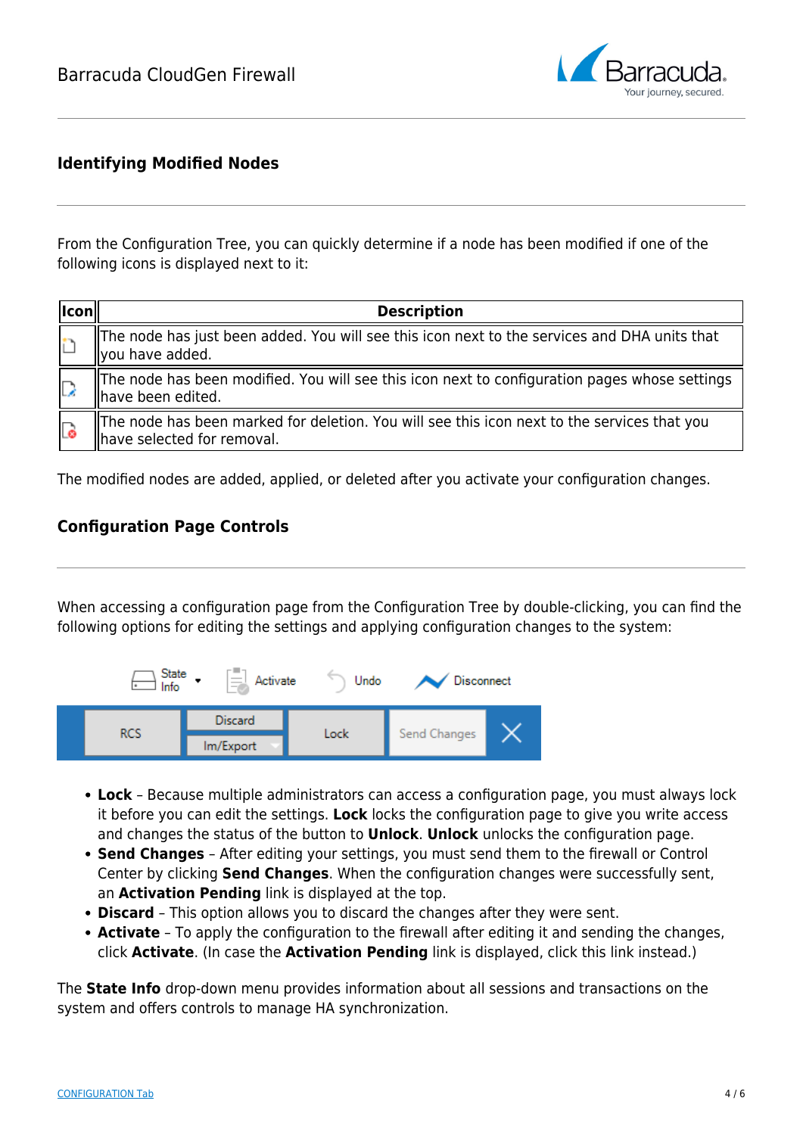

### **Identifying Modified Nodes**

From the Configuration Tree, you can quickly determine if a node has been modified if one of the following icons is displayed next to it:

| lcon | <b>Description</b>                                                                                                        |
|------|---------------------------------------------------------------------------------------------------------------------------|
|      | The node has just been added. You will see this icon next to the services and DHA units that<br>llyou have added.         |
| La   | The node has been modified. You will see this icon next to configuration pages whose settings<br>have been edited.        |
| Lo   | The node has been marked for deletion. You will see this icon next to the services that you<br>have selected for removal. |

The modified nodes are added, applied, or deleted after you activate your configuration changes.

### **Configuration Page Controls**

When accessing a configuration page from the Configuration Tree by double-clicking, you can find the following options for editing the settings and applying configuration changes to the system:



- **Lock** Because multiple administrators can access a configuration page, you must always lock it before you can edit the settings. **Lock** locks the configuration page to give you write access and changes the status of the button to **Unlock**. **Unlock** unlocks the configuration page.
- **Send Changes** After editing your settings, you must send them to the firewall or Control Center by clicking **Send Changes**. When the configuration changes were successfully sent, an **Activation Pending** link is displayed at the top.
- **Discard** This option allows you to discard the changes after they were sent.
- **Activate** To apply the configuration to the firewall after editing it and sending the changes, click **Activate**. (In case the **Activation Pending** link is displayed, click this link instead.)

The **State Info** drop-down menu provides information about all sessions and transactions on the system and offers controls to manage HA synchronization.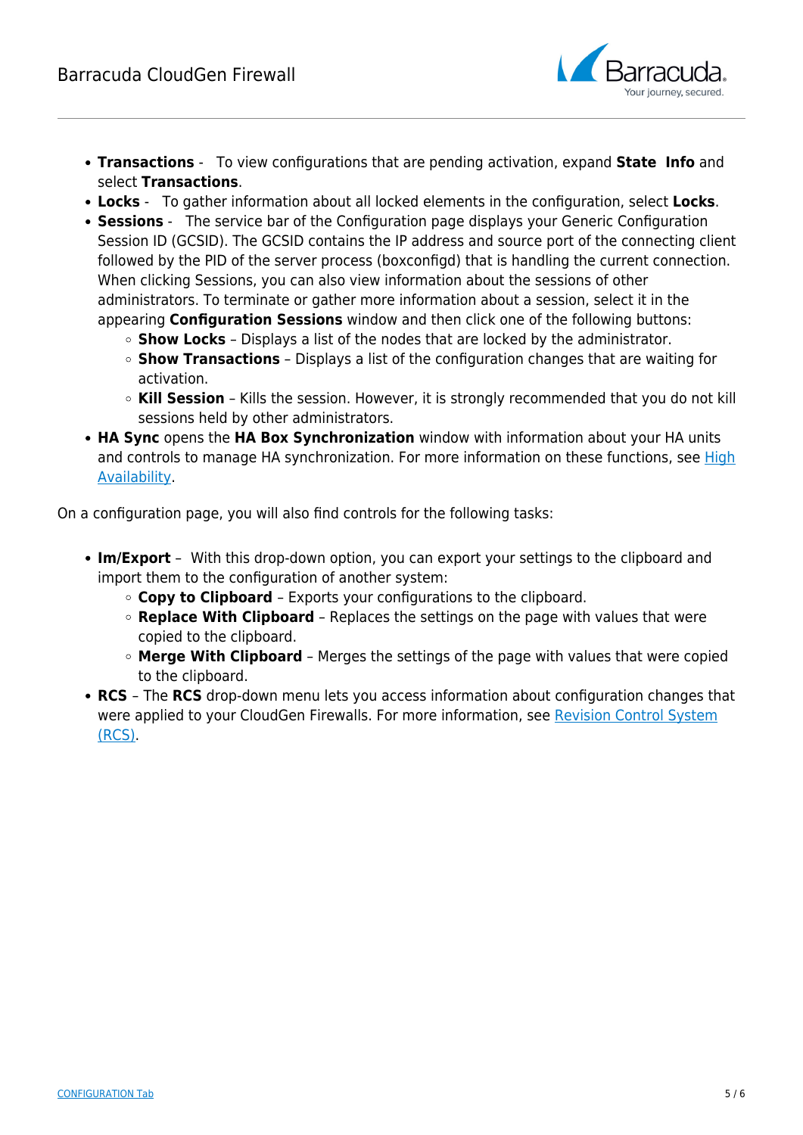

- **Transactions** To view configurations that are pending activation, expand **State Info** and select **Transactions**.
- **Locks** To gather information about all locked elements in the configuration, select **Locks**.
- **Sessions** The service bar of the Configuration page displays your Generic Configuration Session ID (GCSID). The GCSID contains the IP address and source port of the connecting client followed by the PID of the server process (boxconfigd) that is handling the current connection. When clicking Sessions, you can also view information about the sessions of other administrators. To terminate or gather more information about a session, select it in the appearing **Configuration Sessions** window and then click one of the following buttons:
	- **Show Locks** Displays a list of the nodes that are locked by the administrator.
	- **Show Transactions** Displays a list of the configuration changes that are waiting for activation.
	- **Kill Session** Kills the session. However, it is strongly recommended that you do not kill sessions held by other administrators.
- **HA Sync** opens the **HA Box Synchronization** window with information about your HA units and controls to manage HA synchronization. For more information on these functions, see [High](http://campus.barracuda.com/doc/95258998/) [Availability](http://campus.barracuda.com/doc/95258998/).

On a configuration page, you will also find controls for the following tasks:

- **Im/Export** With this drop-down option, you can export your settings to the clipboard and import them to the configuration of another system:
	- **Copy to Clipboard**  Exports your configurations to the clipboard.
	- **Replace With Clipboard** Replaces the settings on the page with values that were copied to the clipboard.
	- **Merge With Clipboard** Merges the settings of the page with values that were copied to the clipboard.
- **RCS**  The **RCS** drop-down menu lets you access information about configuration changes that were applied to your CloudGen Firewalls. For more information, see [Revision Control System](http://campus.barracuda.com/doc/95259023/) [\(RCS\)](http://campus.barracuda.com/doc/95259023/).